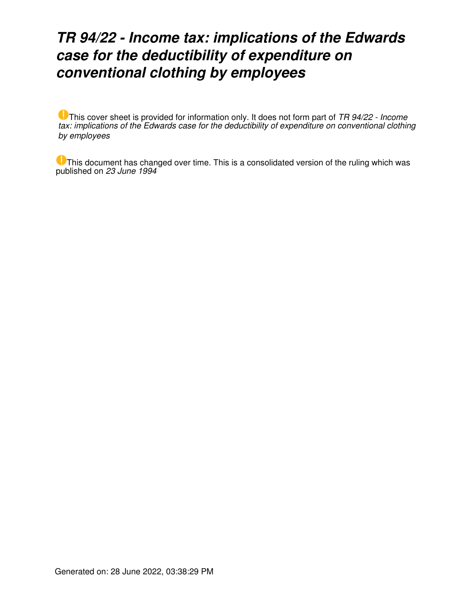# *TR 94/22 - Income tax: implications of the Edwards case for the deductibility of expenditure on conventional clothing by employees*

This cover sheet is provided for information only. It does not form part of *TR 94/22 - Income tax: implications of the Edwards case for the deductibility of expenditure on conventional clothing by employees*

This document has changed over time. This is a consolidated version of the ruling which was published on *23 June 1994*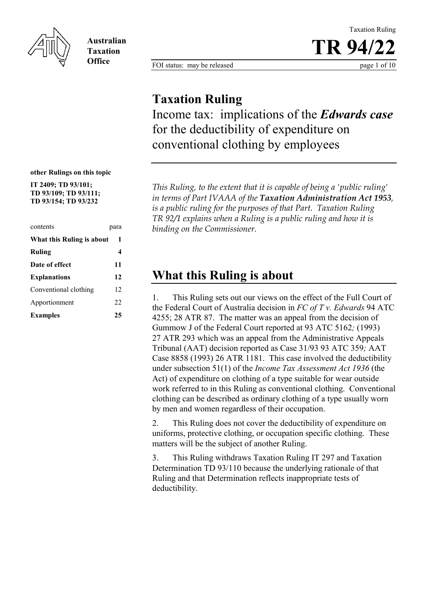

**Australian Taxation Office**

Taxation Ruling **TR 94/22**

FOI status: may be released page 1 of 10

### **Taxation Ruling**

Income tax: implications of the *Edwards case* for the deductibility of expenditure on conventional clothing by employees

**other Rulings on this topic**

**IT 2409; TD 93/101; TD 93/109; TD 93/111; TD 93/154; TD 93/232** 

| contents                  | para |  |
|---------------------------|------|--|
| What this Ruling is about | 1    |  |
| Ruling                    | 4    |  |
| Date of effect            | 11   |  |
| <b>Explanations</b>       | 12   |  |
| Conventional clothing     | 12   |  |
| Apportionment             | 22   |  |
| <b>Examples</b>           | 25   |  |

*This Ruling, to the extent that it is capable of being a 'public ruling' in terms of Part IVAAA of the Taxation Administration Act 1953, is a public ruling for the purposes of that Part. Taxation Ruling TR 92/1 explains when a Ruling is a public ruling and how it is binding on the Commissioner.*

## **What this Ruling is about**

1. This Ruling sets out our views on the effect of the Full Court of the Federal Court of Australia decision in *FC of T v. Edwards* 94 ATC 4255; 28 ATR 87. The matter was an appeal from the decision of Gummow J of the Federal Court reported at 93 ATC 5162*;* (1993) 27 ATR 293 which was an appeal from the Administrative Appeals Tribunal (AAT) decision reported as Case 31/93 93 ATC 359*;* AAT Case 8858 (1993) 26 ATR 1181. This case involved the deductibility under subsection 51(1) of the *Income Tax Assessment Act 1936* (the Act) of expenditure on clothing of a type suitable for wear outside work referred to in this Ruling as conventional clothing. Conventional clothing can be described as ordinary clothing of a type usually worn by men and women regardless of their occupation.

2. This Ruling does not cover the deductibility of expenditure on uniforms, protective clothing, or occupation specific clothing. These matters will be the subject of another Ruling.

3. This Ruling withdraws Taxation Ruling IT 297 and Taxation Determination TD 93/110 because the underlying rationale of that Ruling and that Determination reflects inappropriate tests of deductibility.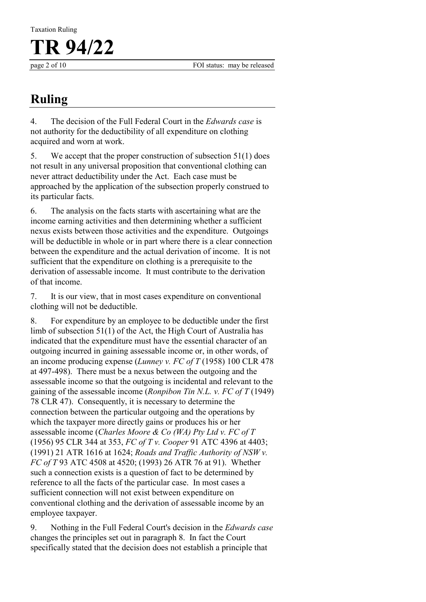page 2 of 10 FOI status: may be released

# **Ruling**

4. The decision of the Full Federal Court in the *Edwards case* is not authority for the deductibility of all expenditure on clothing acquired and worn at work.

5. We accept that the proper construction of subsection 51(1) does not result in any universal proposition that conventional clothing can never attract deductibility under the Act. Each case must be approached by the application of the subsection properly construed to its particular facts.

6. The analysis on the facts starts with ascertaining what are the income earning activities and then determining whether a sufficient nexus exists between those activities and the expenditure. Outgoings will be deductible in whole or in part where there is a clear connection between the expenditure and the actual derivation of income. It is not sufficient that the expenditure on clothing is a prerequisite to the derivation of assessable income. It must contribute to the derivation of that income.

7. It is our view, that in most cases expenditure on conventional clothing will not be deductible.

8. For expenditure by an employee to be deductible under the first limb of subsection 51(1) of the Act, the High Court of Australia has indicated that the expenditure must have the essential character of an outgoing incurred in gaining assessable income or, in other words, of an income producing expense (*Lunney v. FC of T* (1958) 100 CLR 478 at 497-498). There must be a nexus between the outgoing and the assessable income so that the outgoing is incidental and relevant to the gaining of the assessable income (*Ronpibon Tin N.L. v. FC of T* (1949) 78 CLR 47). Consequently, it is necessary to determine the connection between the particular outgoing and the operations by which the taxpayer more directly gains or produces his or her assessable income (*Charles Moore & Co (WA) Pty Ltd v. FC of T* (1956) 95 CLR 344 at 353, *FC of T v. Cooper* 91 ATC 4396 at 4403; (1991) 21 ATR 1616 at 1624; *Roads and Traffic Authority of NSW v. FC of T* 93 ATC 4508 at 4520; (1993) 26 ATR 76 at 91). Whether such a connection exists is a question of fact to be determined by reference to all the facts of the particular case. In most cases a sufficient connection will not exist between expenditure on conventional clothing and the derivation of assessable income by an employee taxpayer.

9. Nothing in the Full Federal Court's decision in the *Edwards case* changes the principles set out in paragraph 8. In fact the Court specifically stated that the decision does not establish a principle that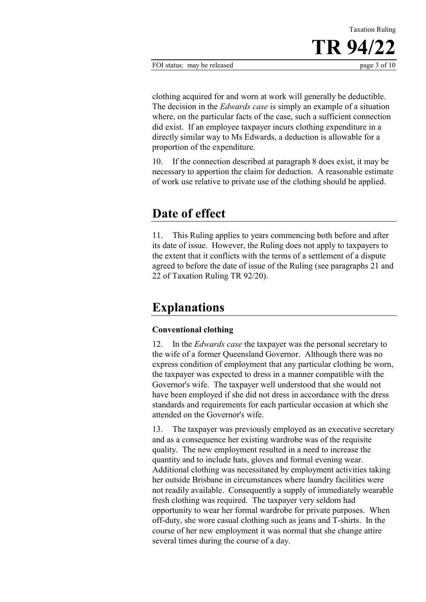clothing acquired for and worn at work will generally be deductible. The decision in the *Edwards case* is simply an example of a situation where, on the particular facts of the case, such a sufficient connection did exist. If an employee taxpayer incurs clothing expenditure in a directly similar way to Ms Edwards, a deduction is allowable for a proportion of the expenditure.

10. If the connection described at paragraph 8 does exist, it may be necessary to apportion the claim for deduction. A reasonable estimate of work use relative to private use of the clothing should be applied.

### **Date of effect**

11. This Ruling applies to years commencing both before and after its date of issue. However, the Ruling does not apply to taxpayers to the extent that it conflicts with the terms of a settlement of a dispute agreed to before the date of issue of the Ruling (see paragraphs 21 and 22 of Taxation Ruling TR 92/20).

# **Explanations**

### **Conventional clothing**

12. In the *Edwards case* the taxpayer was the personal secretary to the wife of a former Queensland Governor. Although there was no express condition of employment that any particular clothing be worn, the taxpayer was expected to dress in a manner compatible with the Governor's wife. The taxpayer well understood that she would not have been employed if she did not dress in accordance with the dress standards and requirements for each particular occasion at which she attended on the Governor's wife.

13. The taxpayer was previously employed as an executive secretary and as a consequence her existing wardrobe was of the requisite quality. The new employment resulted in a need to increase the quantity and to include hats, gloves and formal evening wear. Additional clothing was necessitated by employment activities taking her outside Brisbane in circumstances where laundry facilities were not readily available. Consequently a supply of immediately wearable fresh clothing was required. The taxpayer very seldom had opportunity to wear her formal wardrobe for private purposes. When off-duty, she wore casual clothing such as jeans and T-shirts. In the course of her new employment it was normal that she change attire several times during the course of a day.

Taxation Ruling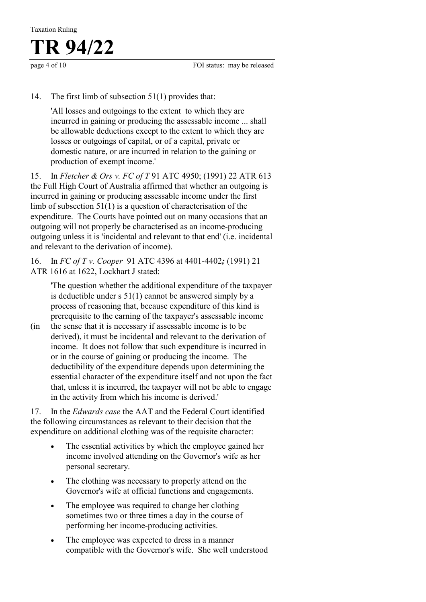#### 14. The first limb of subsection 51(1) provides that:

'All losses and outgoings to the extent to which they are incurred in gaining or producing the assessable income ... shall be allowable deductions except to the extent to which they are losses or outgoings of capital, or of a capital, private or domestic nature, or are incurred in relation to the gaining or production of exempt income.'

15. In *Fletcher & Ors v. FC of T* 91 ATC 4950; (1991) 22 ATR 613 the Full High Court of Australia affirmed that whether an outgoing is incurred in gaining or producing assessable income under the first limb of subsection 51(1) is a question of characterisation of the expenditure. The Courts have pointed out on many occasions that an outgoing will not properly be characterised as an income-producing outgoing unless it is 'incidental and relevant to that end' (i.e. incidental and relevant to the derivation of income).

16. In *FC of T v. Cooper* 91 ATC 4396 at 4401-4402*;* (1991) 21 ATR 1616 at 1622, Lockhart J stated:

'The question whether the additional expenditure of the taxpayer is deductible under s 51(1) cannot be answered simply by a process of reasoning that, because expenditure of this kind is prerequisite to the earning of the taxpayer's assessable income

(in the sense that it is necessary if assessable income is to be derived), it must be incidental and relevant to the derivation of income. It does not follow that such expenditure is incurred in or in the course of gaining or producing the income. The deductibility of the expenditure depends upon determining the essential character of the expenditure itself and not upon the fact that, unless it is incurred, the taxpayer will not be able to engage in the activity from which his income is derived.'

17. In the *Edwards case* the AAT and the Federal Court identified the following circumstances as relevant to their decision that the expenditure on additional clothing was of the requisite character:

- The essential activities by which the employee gained her income involved attending on the Governor's wife as her personal secretary.
- The clothing was necessary to properly attend on the Governor's wife at official functions and engagements.
- The employee was required to change her clothing sometimes two or three times a day in the course of performing her income-producing activities.
- The employee was expected to dress in a manner compatible with the Governor's wife. She well understood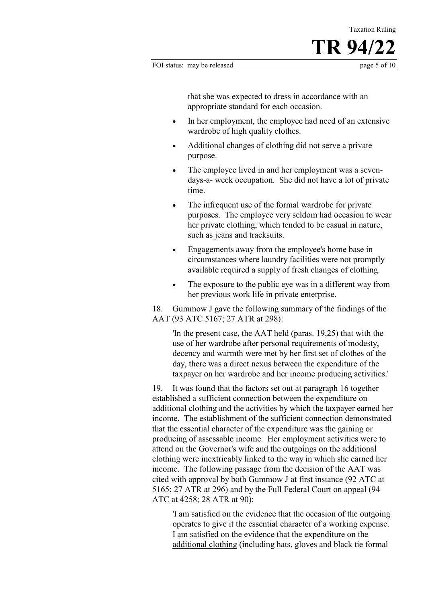Taxation Ruling

that she was expected to dress in accordance with an appropriate standard for each occasion.

- In her employment, the employee had need of an extensive wardrobe of high quality clothes.
- Additional changes of clothing did not serve a private purpose.
- The employee lived in and her employment was a sevendays-a- week occupation. She did not have a lot of private time.
- The infrequent use of the formal wardrobe for private purposes. The employee very seldom had occasion to wear her private clothing, which tended to be casual in nature, such as jeans and tracksuits.
- Engagements away from the employee's home base in circumstances where laundry facilities were not promptly available required a supply of fresh changes of clothing.
- The exposure to the public eye was in a different way from her previous work life in private enterprise.

18. Gummow J gave the following summary of the findings of the AAT (93 ATC 5167; 27 ATR at 298):

'In the present case, the AAT held (paras. 19,25) that with the use of her wardrobe after personal requirements of modesty, decency and warmth were met by her first set of clothes of the day, there was a direct nexus between the expenditure of the taxpayer on her wardrobe and her income producing activities.'

19. It was found that the factors set out at paragraph 16 together established a sufficient connection between the expenditure on additional clothing and the activities by which the taxpayer earned her income. The establishment of the sufficient connection demonstrated that the essential character of the expenditure was the gaining or producing of assessable income. Her employment activities were to attend on the Governor's wife and the outgoings on the additional clothing were inextricably linked to the way in which she earned her income. The following passage from the decision of the AAT was cited with approval by both Gummow J at first instance (92 ATC at 5165; 27 ATR at 296) and by the Full Federal Court on appeal (94 ATC at 4258; 28 ATR at 90):

'I am satisfied on the evidence that the occasion of the outgoing operates to give it the essential character of a working expense. I am satisfied on the evidence that the expenditure on the additional clothing (including hats, gloves and black tie formal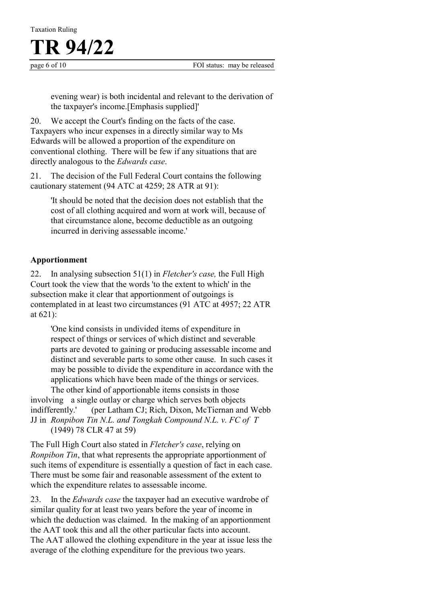evening wear) is both incidental and relevant to the derivation of the taxpayer's income.[Emphasis supplied]'

20. We accept the Court's finding on the facts of the case. Taxpayers who incur expenses in a directly similar way to Ms Edwards will be allowed a proportion of the expenditure on conventional clothing. There will be few if any situations that are directly analogous to the *Edwards case*.

21. The decision of the Full Federal Court contains the following cautionary statement (94 ATC at 4259; 28 ATR at 91):

'It should be noted that the decision does not establish that the cost of all clothing acquired and worn at work will, because of that circumstance alone, become deductible as an outgoing incurred in deriving assessable income.'

### **Apportionment**

22. In analysing subsection 51(1) in *Fletcher's case,* the Full High Court took the view that the words 'to the extent to which' in the subsection make it clear that apportionment of outgoings is contemplated in at least two circumstances (91 ATC at 4957; 22 ATR at 621):

'One kind consists in undivided items of expenditure in respect of things or services of which distinct and severable parts are devoted to gaining or producing assessable income and distinct and severable parts to some other cause. In such cases it may be possible to divide the expenditure in accordance with the applications which have been made of the things or services.

The other kind of apportionable items consists in those involving a single outlay or charge which serves both objects indifferently.' (per Latham CJ; Rich, Dixon, McTiernan and Webb JJ in *Ronpibon Tin N.L. and Tongkah Compound N.L. v. FC of T*  (1949) 78 CLR 47 at 59)

The Full High Court also stated in *Fletcher's case*, relying on *Ronpibon Tin*, that what represents the appropriate apportionment of such items of expenditure is essentially a question of fact in each case. There must be some fair and reasonable assessment of the extent to which the expenditure relates to assessable income.

23. In the *Edwards case* the taxpayer had an executive wardrobe of similar quality for at least two years before the year of income in which the deduction was claimed. In the making of an apportionment the AAT took this and all the other particular facts into account. The AAT allowed the clothing expenditure in the year at issue less the average of the clothing expenditure for the previous two years.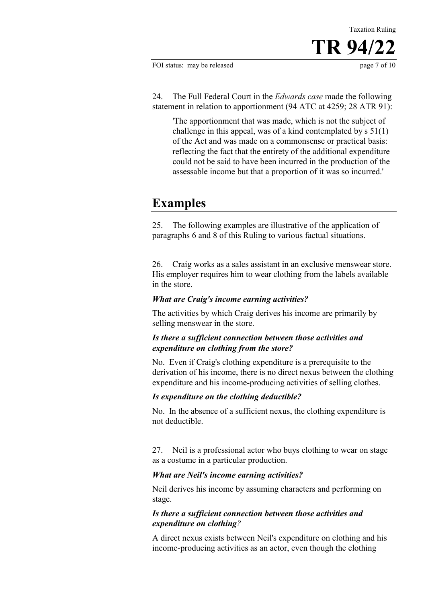24. The Full Federal Court in the *Edwards case* made the following statement in relation to apportionment (94 ATC at 4259; 28 ATR 91):

'The apportionment that was made, which is not the subject of challenge in this appeal, was of a kind contemplated by s 51(1) of the Act and was made on a commonsense or practical basis: reflecting the fact that the entirety of the additional expenditure could not be said to have been incurred in the production of the assessable income but that a proportion of it was so incurred.'

## **Examples**

25. The following examples are illustrative of the application of paragraphs 6 and 8 of this Ruling to various factual situations.

26. Craig works as a sales assistant in an exclusive menswear store. His employer requires him to wear clothing from the labels available in the store.

#### *What are Craig's income earning activities?*

The activities by which Craig derives his income are primarily by selling menswear in the store.

#### *Is there a sufficient connection between those activities and expenditure on clothing from the store?*

No. Even if Craig's clothing expenditure is a prerequisite to the derivation of his income, there is no direct nexus between the clothing expenditure and his income-producing activities of selling clothes.

#### *Is expenditure on the clothing deductible?*

No. In the absence of a sufficient nexus, the clothing expenditure is not deductible.

27. Neil is a professional actor who buys clothing to wear on stage as a costume in a particular production.

#### *What are Neil's income earning activities?*

Neil derives his income by assuming characters and performing on stage.

#### *Is there a sufficient connection between those activities and expenditure on clothing?*

A direct nexus exists between Neil's expenditure on clothing and his income-producing activities as an actor, even though the clothing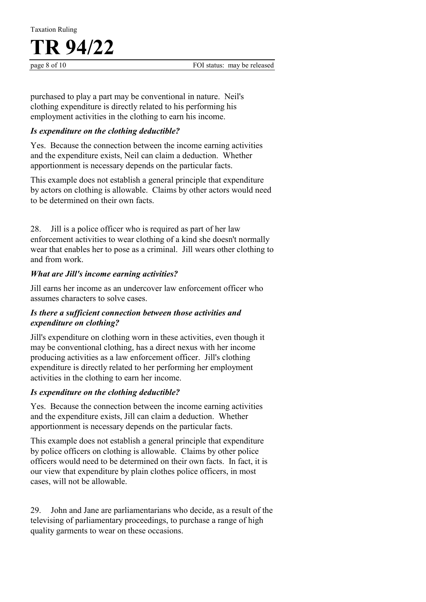purchased to play a part may be conventional in nature. Neil's clothing expenditure is directly related to his performing his employment activities in the clothing to earn his income.

#### *Is expenditure on the clothing deductible?*

Yes. Because the connection between the income earning activities and the expenditure exists, Neil can claim a deduction. Whether apportionment is necessary depends on the particular facts.

This example does not establish a general principle that expenditure by actors on clothing is allowable. Claims by other actors would need to be determined on their own facts.

28. Jill is a police officer who is required as part of her law enforcement activities to wear clothing of a kind she doesn't normally wear that enables her to pose as a criminal. Jill wears other clothing to and from work.

#### *What are Jill's income earning activities?*

Jill earns her income as an undercover law enforcement officer who assumes characters to solve cases.

#### *Is there a sufficient connection between those activities and expenditure on clothing?*

Jill's expenditure on clothing worn in these activities, even though it may be conventional clothing, has a direct nexus with her income producing activities as a law enforcement officer. Jill's clothing expenditure is directly related to her performing her employment activities in the clothing to earn her income.

#### *Is expenditure on the clothing deductible?*

Yes. Because the connection between the income earning activities and the expenditure exists, Jill can claim a deduction. Whether apportionment is necessary depends on the particular facts.

This example does not establish a general principle that expenditure by police officers on clothing is allowable. Claims by other police officers would need to be determined on their own facts. In fact, it is our view that expenditure by plain clothes police officers, in most cases, will not be allowable.

29. John and Jane are parliamentarians who decide, as a result of the televising of parliamentary proceedings, to purchase a range of high quality garments to wear on these occasions.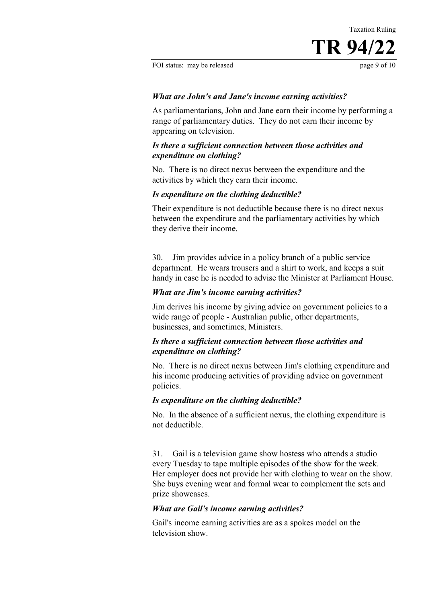Taxation Ruling

#### *What are John's and Jane's income earning activities?*

As parliamentarians, John and Jane earn their income by performing a range of parliamentary duties. They do not earn their income by appearing on television.

#### *Is there a sufficient connection between those activities and expenditure on clothing?*

No. There is no direct nexus between the expenditure and the activities by which they earn their income.

#### *Is expenditure on the clothing deductible?*

Their expenditure is not deductible because there is no direct nexus between the expenditure and the parliamentary activities by which they derive their income.

30. Jim provides advice in a policy branch of a public service department. He wears trousers and a shirt to work, and keeps a suit handy in case he is needed to advise the Minister at Parliament House.

#### *What are Jim's income earning activities?*

Jim derives his income by giving advice on government policies to a wide range of people - Australian public, other departments, businesses, and sometimes, Ministers.

#### *Is there a sufficient connection between those activities and expenditure on clothing?*

No. There is no direct nexus between Jim's clothing expenditure and his income producing activities of providing advice on government policies.

#### *Is expenditure on the clothing deductible?*

No. In the absence of a sufficient nexus, the clothing expenditure is not deductible.

31. Gail is a television game show hostess who attends a studio every Tuesday to tape multiple episodes of the show for the week. Her employer does not provide her with clothing to wear on the show. She buys evening wear and formal wear to complement the sets and prize showcases.

#### *What are Gail's income earning activities?*

Gail's income earning activities are as a spokes model on the television show.